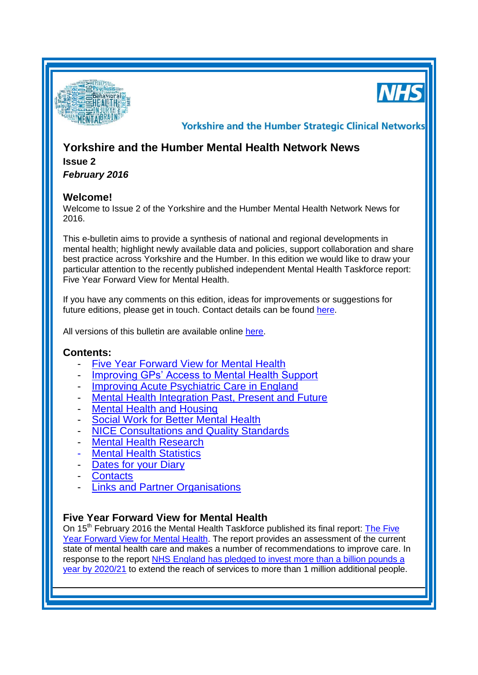



**Yorkshire and the Humber Strategic Clinical Networks** 

## **Yorkshire and the Humber Mental Health Network News**

# **Issue 2**

*February 2016*

## **Welcome!**

Welcome to Issue 2 of the Yorkshire and the Humber Mental Health Network News for 2016.

This e-bulletin aims to provide a synthesis of national and regional developments in mental health; highlight newly available data and policies, support collaboration and share best practice across Yorkshire and the Humber. In this edition we would like to draw your particular attention to the recently published independent Mental Health Taskforce report: Five Year Forward View for Mental Health.

If you have any comments on this edition, ideas for improvements or suggestions for future editions, please get in touch. Contact details can be found [here.](#page-2-0)

All versions of this bulletin are available online [here.](http://www.yhscn.nhs.uk/mental-health-clinic/mental-health-network/MH-documents-and-links.php)

## **Contents:**

- **[Five Year Forward View for Mental Health](#page-0-0)**
- [Improving GPs' Access to Mental Health Support](#page-1-0)
- [Improving Acute Psychiatric Care in England](#page-1-1)
- [Mental Health Integration](#page-1-2) Past, Present and Future
- **[Mental Health and Housing](#page-1-3)**
- **[Social Work for Better Mental Health](#page-1-4)**
- **[NICE Consultations and Quality Standards](#page-2-1)**
- [Mental Health Research](#page-2-2)
- **[Mental Health Statistics](#page-2-3)**
- [Dates for your](#page-0-1) Diary
- **[Contacts](#page-2-0)**
- [Links and Partner Organisations](#page-3-0)

## <span id="page-0-1"></span><span id="page-0-0"></span>**Five Year Forward View for Mental Health**

On 15<sup>th</sup> February 2016 the Mental Health Taskforce published its final report: The Five Year [Forward View for Mental Health.](https://www.england.nhs.uk/wp-content/uploads/2016/02/Mental-Health-Taskforce-FYFV-final.pdf) The report provides an assessment of the current state of mental health care and makes a number of recommendations to improve care. In response to the report [NHS England has pledged to invest more than a billion pounds a](https://www.england.nhs.uk/2016/02/fyfv-mh/)  [year by 2020/21](https://www.england.nhs.uk/2016/02/fyfv-mh/) to extend the reach of services to more than 1 million additional people.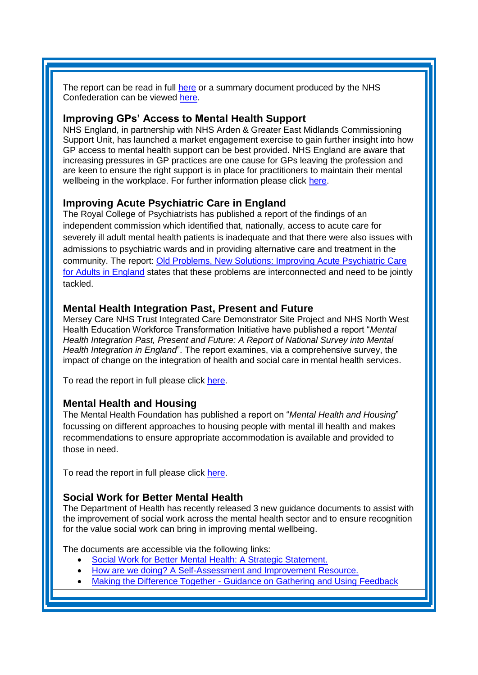The report can be read in full [here](https://www.england.nhs.uk/wp-content/uploads/2016/02/Mental-Health-Taskforce-FYFV-final.pdf) or a summary document produced by the NHS Confederation can be viewed [here.](http://www.nhsconfed.org/resources/2016/02/the-five-year-forward-view-for-mental-health)

#### <span id="page-1-0"></span>**Improving GPs' Access to Mental Health Support**

NHS England, in partnership with NHS Arden & Greater East Midlands Commissioning Support Unit, has launched a market engagement exercise to gain further insight into how GP access to mental health support can be best provided. NHS England are aware that increasing pressures in GP practices are one cause for GPs leaving the profession and are keen to ensure the right support is in place for practitioners to maintain their mental wellbeing in the workplace. For further information please click [here.](https://www.england.nhs.uk/2016/02/gp-mental-health-support-pin/)

## <span id="page-1-1"></span>**Improving Acute Psychiatric Care in England**

The Royal College of Psychiatrists has published a report of the findings of an independent commission which identified that, nationally, access to acute care for severely ill adult mental health patients is inadequate and that there were also issues with admissions to psychiatric wards and in providing alternative care and treatment in the community. The report: [Old Problems, New Solutions: Improving Acute Psychiatric Care](http://www.caapc.info/#!publications/cgbd)  [for Adults in England](http://www.caapc.info/#!publications/cgbd) states that these problems are interconnected and need to be jointly tackled.

#### <span id="page-1-2"></span>**Mental Health Integration Past, Present and Future**

Mersey Care NHS Trust Integrated Care Demonstrator Site Project and NHS North West Health Education Workforce Transformation Initiative have published a report "*Mental Health Integration Past, Present and Future: A Report of National Survey into Mental Health Integration in England*". The report examines, via a comprehensive survey, the impact of change on the integration of health and social care in mental health services.

To read the report in full please click [here.](https://s3-eu-west-1.amazonaws.com/rbi-communities/wp-content/uploads/sites/7/2016/02/Mental-Health-Integration-In-England-National-Survey-Report-00000002.pdf?utm_source=The%20King%27s%20Fund%20newsletters&utm_medium=email&utm_campaign=6755429_HMP%202016-02-12&dm_i=21A8,40SIT,FLWT3F,EKAFJ,1)

#### <span id="page-1-3"></span>**Mental Health and Housing**

The Mental Health Foundation has published a report on "*Mental Health and Housing*" focussing on different approaches to housing people with mental ill health and makes recommendations to ensure appropriate accommodation is available and provided to those in need.

To read the report in full please click [here.](https://www.mentalhealth.org.uk/publications/mental-health-and-housing)

#### <span id="page-1-4"></span>**Social Work for Better Mental Health**

The Department of Health has recently released 3 new guidance documents to assist with the improvement of social work across the mental health sector and to ensure recognition for the value social work can bring in improving mental wellbeing.

The documents are accessible via the following links:

- [Social Work for Better Mental Health: A Strategic Statement.](https://www.gov.uk/government/uploads/system/uploads/attachment_data/file/495500/Strategic_statement_-_social_work_adult_mental_health_A.pdf)
- [How are we doing? A Self-Assessment and Improvement Resource.](https://www.gov.uk/government/uploads/system/uploads/attachment_data/file/495510/How_are_we_doing_-_social_work_adult_mental_health_A.pdf)
- Making the Difference Together [Guidance on Gathering and Using Feedback](https://www.gov.uk/government/uploads/system/uploads/attachment_data/file/495517/Making_the_difference_together_-_social_work_adult_mental_health_A.pdf)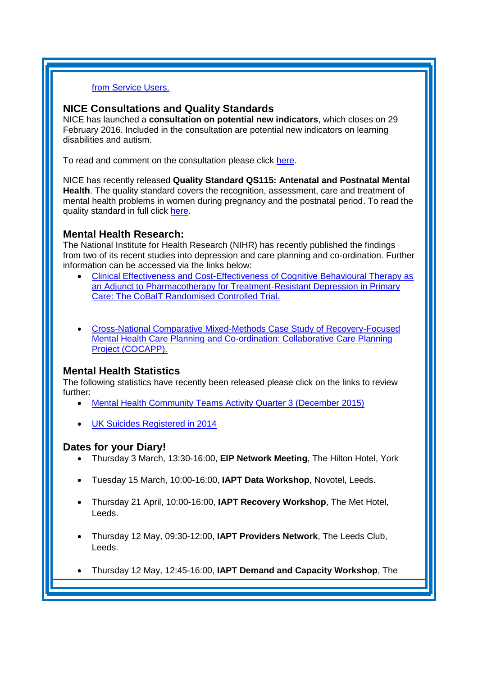#### [from Service Users.](https://www.gov.uk/government/uploads/system/uploads/attachment_data/file/495517/Making_the_difference_together_-_social_work_adult_mental_health_A.pdf)

#### <span id="page-2-1"></span>**NICE Consultations and Quality Standards**

NICE has launched a **consultation on potential new indicators**, which closes on 29 February 2016. Included in the consultation are potential new indicators on learning disabilities and autism.

To read and comment on the consultation please click [here.](https://www.england.nhs.uk/2016/02/gp-mental-health-support-pin/)

NICE has recently released **Quality Standard QS115: Antenatal and Postnatal Mental Health**. The quality standard covers the recognition, assessment, care and treatment of mental health problems in women during pregnancy and the postnatal period. To read the quality standard in full click [here.](http://www.nice.org.uk/guidance/qs115)

#### <span id="page-2-2"></span>**Mental Health Research:**

The National Institute for Health Research (NIHR) has recently published the findings from two of its recent studies into depression and care planning and co-ordination. Further information can be accessed via the links below:

- [Clinical Effectiveness and Cost-Effectiveness of Cognitive Behavioural Therapy as](http://www.nets.nihr.ac.uk/projects/hta/0640402)  [an Adjunct to Pharmacotherapy for Treatment-Resistant Depression in Primary](http://www.nets.nihr.ac.uk/projects/hta/0640402)  [Care: The CoBalT Randomised Controlled Trial.](http://www.nets.nihr.ac.uk/projects/hta/0640402)
- [Cross-National Comparative Mixed-Methods Case Study of Recovery-Focused](http://www.journalslibrary.nihr.ac.uk/__data/assets/pdf_file/0017/161072/FullReport-hsdr04050.pdf?utm_source=The%20King%27s%20Fund%20newsletters&utm_medium=email&utm_campaign=6771340_HMP%202016-02-16&dm_i=21A8,414SS,FLWT3F,EKUUJ,1)  [Mental Health Care Planning and Co-ordination: Collaborative Care Planning](http://www.journalslibrary.nihr.ac.uk/__data/assets/pdf_file/0017/161072/FullReport-hsdr04050.pdf?utm_source=The%20King%27s%20Fund%20newsletters&utm_medium=email&utm_campaign=6771340_HMP%202016-02-16&dm_i=21A8,414SS,FLWT3F,EKUUJ,1)  [Project \(COCAPP\).](http://www.journalslibrary.nihr.ac.uk/__data/assets/pdf_file/0017/161072/FullReport-hsdr04050.pdf?utm_source=The%20King%27s%20Fund%20newsletters&utm_medium=email&utm_campaign=6771340_HMP%202016-02-16&dm_i=21A8,414SS,FLWT3F,EKUUJ,1)

#### <span id="page-2-3"></span>**Mental Health Statistics**

The following statistics have recently been released please click on the links to review further:

- [Mental Health Community Teams Activity Quarter 3 \(December 2015\)](https://www.gov.uk/government/statistics/mental-health-community-teams-activity-for-quarter-ending-december-2015)
- [UK Suicides Registered in 2014](https://www.gov.uk/government/statistics/uk-suicides-registered-in-2014)

#### **Dates for your Diary!**

- Thursday 3 March, 13:30-16:00, **EIP Network Meeting**, The Hilton Hotel, York
- <span id="page-2-0"></span>Tuesday 15 March, 10:00-16:00, **IAPT Data Workshop**, Novotel, Leeds.
- Thursday 21 April, 10:00-16:00, **IAPT Recovery Workshop**, The Met Hotel, Leeds.
- Thursday 12 May, 09:30-12:00, **IAPT Providers Network**, The Leeds Club, Leeds.
- Thursday 12 May, 12:45-16:00, **IAPT Demand and Capacity Workshop**, The